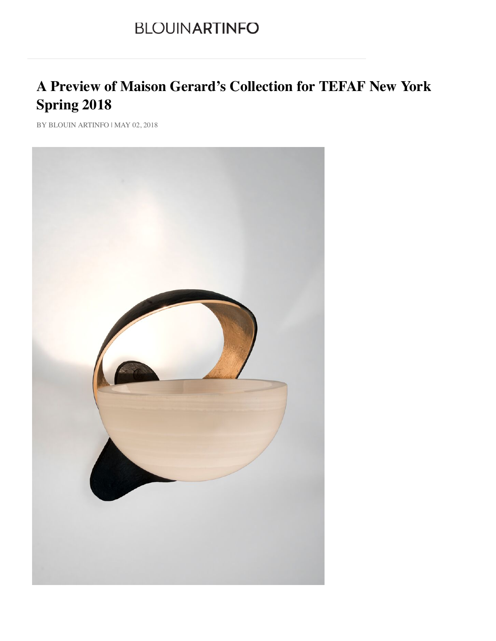## **BLOUINARTINFO**

## **A Preview of Maison Gerard's Collection for TEFAF New York Spring 2018**

BY BLOUIN ARTINFO | MAY 02, 2018

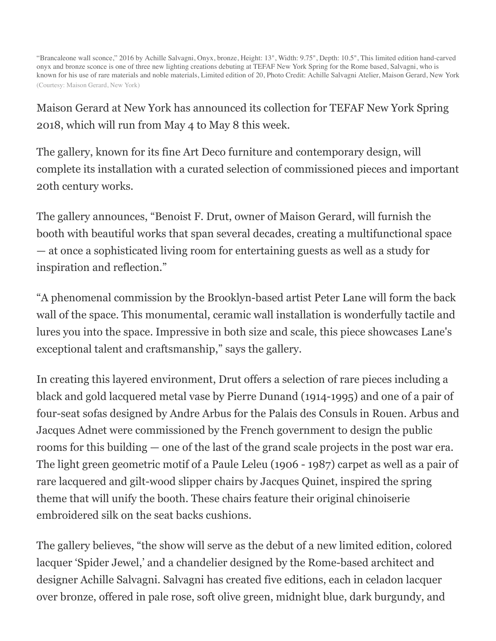"Brancaleone wall sconce," 2016 by Achille Salvagni, Onyx, bronze, Height: 13", Width: 9.75", Depth: 10.5", This limited edition hand-carved onyx and bronze sconce is one of three new lighting creations debuting at TEFAF New York Spring for the Rome based, Salvagni, who is known for his use of rare materials and noble materials, Limited edition of 20, Photo Credit: Achille Salvagni Atelier, Maison Gerard, New York (Courtesy: Maison Gerard, New York)

Maison Gerard at New York has announced its collection for TEFAF New York Spring 2018, which will run from May 4 to May 8 this week.

The gallery, known for its fine Art Deco furniture and contemporary design, will complete its installation with a curated selection of commissioned pieces and important 20th century works.

The gallery announces, "Benoist F. Drut, owner of Maison Gerard, will furnish the booth with beautiful works that span several decades, creating a multifunctional space — at once a sophisticated living room for entertaining guests as well as a study for inspiration and reflection."

"A phenomenal commission by the Brooklyn-based artist Peter Lane will form the back wall of the space. This monumental, ceramic wall installation is wonderfully tactile and lures you into the space. Impressive in both size and scale, this piece showcases Lane's exceptional talent and craftsmanship," says the gallery.

In creating this layered environment, Drut offers a selection of rare pieces including a black and gold lacquered metal vase by Pierre Dunand (1914-1995) and one of a pair of four-seat sofas designed by Andre Arbus for the Palais des Consuls in Rouen. Arbus and Jacques Adnet were commissioned by the French government to design the public rooms for this building — one of the last of the grand scale projects in the post war era. The light green geometric motif of a Paule Leleu (1906 - 1987) carpet as well as a pair of rare lacquered and gilt-wood slipper chairs by Jacques Quinet, inspired the spring t[heme](http://www.blouinartinfo.com/photo-galleries/a-preview-of-maison-gerards-collection-for-tefaf-new-york-spring) that will unify the booth. These chairs feature their original chinoiserie embroidered silk on the seat backs cushions.

The gallery believes, "the show will serve as the debut of a new limited edition, colored lacquer 'Spider Jewel,' and a chandelier designed by the Rome-based architect and designer Achille Salvagni. Salvagni has created five editions, each in celadon lacquer over bronze, offered in pale rose, soft olive green, midnight blue, dark burgundy, and